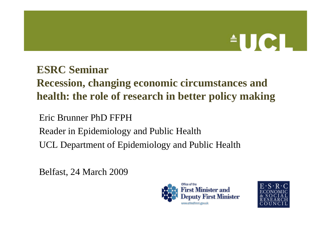# $\triangle$ UCI

#### **ESRC Seminar**

## **Recession, changing economic circumstances and health: the role of research in better policy making**

Eric Brunner PhD FFPH

Reader in Epidemiology and Public Health

UCL Department of Epidemiology and Public Health

Belfast, 24 March 2009



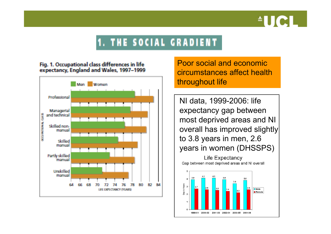

#### **1. THE SOCIAL GRADIENT**

#### Fig. 1. Occupational class differences in life expectancy, England and Wales, 1997-1999



Poor social and economic circumstances affect health throughout life

NI data, 1999-2006: life expectancy gap between most deprived areas and NI overall has improved slightly to 3.8 years in men, 2.6 years in women (DHSSPS)

Life Expectancy Gap between most deprived areas and NI overall

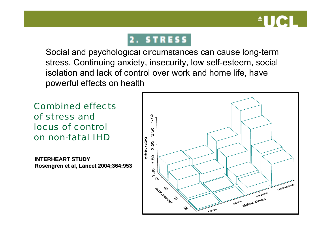

#### 2. STRESS

Social and psychological circumstances can cause long-term stress. Continuing anxiety, insecurity, low self-esteem, social isolation and lack of control over work and home life, have powerful effects on health

#### Combined effects of stress and locus of controlon non-fatal IHD

**INTERHEART STUDYRosengren et al, Lancet 2004;364:953 et al, Lancet 2004;364:953**

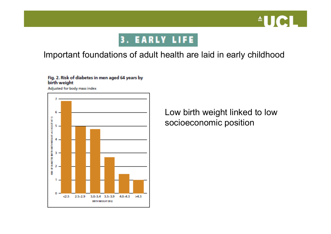

#### **3. EARLY LIFE**

#### Important foundations of adult health are laid in early childhood

#### Fig. 2. Risk of diabetes in men aged 64 years by birth weight

Adjusted for body mass index



Low birth weight linked to low socioeconomic position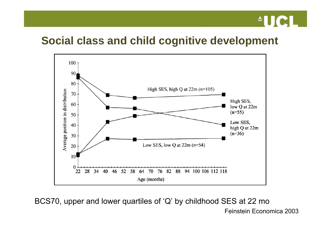

#### **Social class and child cognitive development**



BCS70, upper and lower quartiles of 'Q' by childhood SES at 22 mo

Feinstein Economica 2003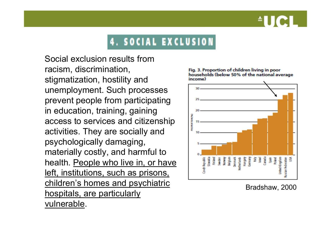## **4. SOCIAL EXCLUSION**

Social exclusion results from racism, discrimination, stigmatization, hostility and unemployment. Such processes prevent people from participating in education, training, gaining access to services and citizenship activities. They are socially and psychologically damaging, materially costly, and harmful to health. People who live in, or have left, institutions, such as prisons, children's homes and psychiatric hospitals, are particularly vulnerable.



Fig. 3. Proportion of children living in poor households (below 50% of the national average income)

Bradshaw, 2000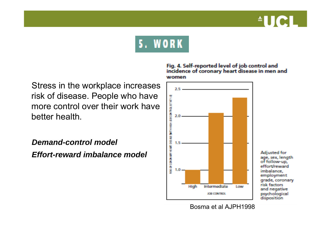

## **5. WORK**

Stress in the workplace increases risk of disease. People who have more control over their work have better health.

*Demand-control modelEffort-reward imbalance model*

#### Fig. 4. Self-reported level of job control and<br>incidence of coronary heart disease in men and women



Adjusted for age, sex, length of follow-up, effort/reward imbalance. employment grade, coronary risk factors. and negative psychological disposition

Bosma et al AJPH1998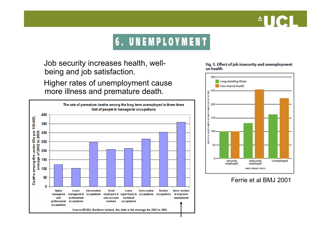## $\blacksquare$

## **6. UNEMPLOYMENT**

Job security increases health, wellbeing and job satisfaction. Higher rates of unemployment cause

more illness and premature death.



#### Fig. 5. Effect of job insecurity and unemployment on health



#### Ferrie et al BMJ 2001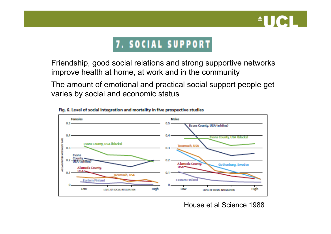

#### 7. SOCIAL SUPPORT

Friendship, good social relations and strong supportive networks improve health at home, at work and in the community

The amount of emotional and practical social support people get varies by social and economic status



Fig. 6. Level of social integration and mortality in five prospective studies

House et al Science 1988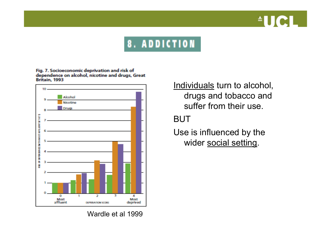

### **8. ADDICTION**

Fig. 7. Socioeconomic deprivation and risk of dependence on alcohol, nicotine and drugs, Great Britain, 1993



<u>Individuals</u> turn to alcohol, drugs and tobacco and suffer from their use.

BUT

Use is influenced by the wider social setting.

Wardle et al 1999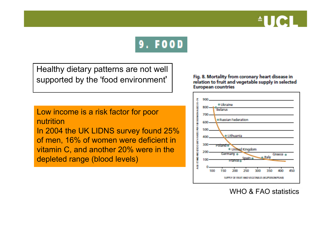



Healthy dietary patterns are not well supported by the 'food environment'

Fig. 8. Mortality from coronary heart disease in relation to fruit and vegetable supply in selected **European countries** 

Low income is a risk factor for poor nutritionIn 2004 the UK LIDNS survey found 25% of men, 16% of women were deficient in vitamin C, and another 20% were in the depleted range (blood levels)



WHO & FAO statistics